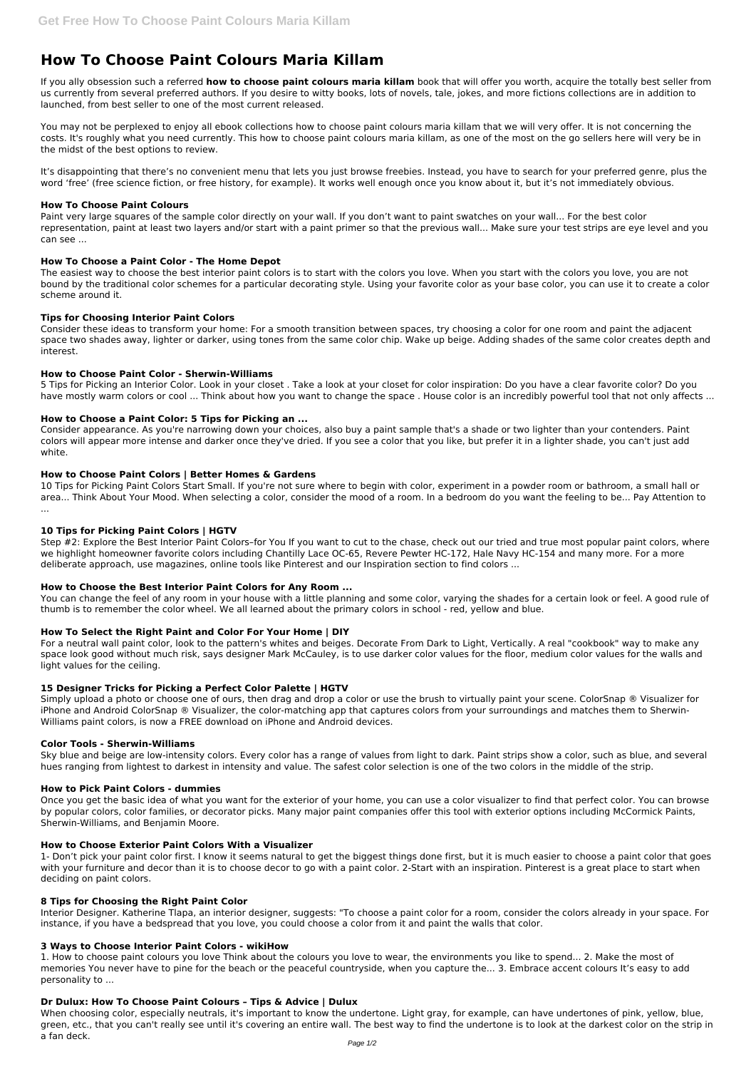# **How To Choose Paint Colours Maria Killam**

If you ally obsession such a referred **how to choose paint colours maria killam** book that will offer you worth, acquire the totally best seller from us currently from several preferred authors. If you desire to witty books, lots of novels, tale, jokes, and more fictions collections are in addition to launched, from best seller to one of the most current released.

It's disappointing that there's no convenient menu that lets you just browse freebies. Instead, you have to search for your preferred genre, plus the word 'free' (free science fiction, or free history, for example). It works well enough once you know about it, but it's not immediately obvious.

You may not be perplexed to enjoy all ebook collections how to choose paint colours maria killam that we will very offer. It is not concerning the costs. It's roughly what you need currently. This how to choose paint colours maria killam, as one of the most on the go sellers here will very be in the midst of the best options to review.

5 Tips for Picking an Interior Color. Look in your closet . Take a look at your closet for color inspiration: Do you have a clear favorite color? Do you have mostly warm colors or cool ... Think about how you want to change the space . House color is an incredibly powerful tool that not only affects ...

## **How To Choose Paint Colours**

Paint very large squares of the sample color directly on your wall. If you don't want to paint swatches on your wall... For the best color representation, paint at least two layers and/or start with a paint primer so that the previous wall... Make sure your test strips are eye level and you can see ...

## **How To Choose a Paint Color - The Home Depot**

The easiest way to choose the best interior paint colors is to start with the colors you love. When you start with the colors you love, you are not bound by the traditional color schemes for a particular decorating style. Using your favorite color as your base color, you can use it to create a color scheme around it.

## **Tips for Choosing Interior Paint Colors**

Step #2: Explore the Best Interior Paint Colors-for You If you want to cut to the chase, check out our tried and true most popular paint colors, where we highlight homeowner favorite colors including Chantilly Lace OC-65, Revere Pewter HC-172, Hale Navy HC-154 and many more. For a more deliberate approach, use magazines, online tools like Pinterest and our Inspiration section to find colors ...

You can change the feel of any room in your house with a little planning and some color, varying the shades for a certain look or feel. A good rule of thumb is to remember the color wheel. We all learned about the primary colors in school - red, yellow and blue.

Consider these ideas to transform your home: For a smooth transition between spaces, try choosing a color for one room and paint the adjacent space two shades away, lighter or darker, using tones from the same color chip. Wake up beige. Adding shades of the same color creates depth and interest.

## **How to Choose Paint Color - Sherwin-Williams**

## **How to Choose a Paint Color: 5 Tips for Picking an ...**

Consider appearance. As you're narrowing down your choices, also buy a paint sample that's a shade or two lighter than your contenders. Paint colors will appear more intense and darker once they've dried. If you see a color that you like, but prefer it in a lighter shade, you can't just add white.

## **How to Choose Paint Colors | Better Homes & Gardens**

10 Tips for Picking Paint Colors Start Small. If you're not sure where to begin with color, experiment in a powder room or bathroom, a small hall or area... Think About Your Mood. When selecting a color, consider the mood of a room. In a bedroom do you want the feeling to be... Pay Attention to ...

## **10 Tips for Picking Paint Colors | HGTV**

## **How to Choose the Best Interior Paint Colors for Any Room ...**

## **How To Select the Right Paint and Color For Your Home | DIY**

For a neutral wall paint color, look to the pattern's whites and beiges. Decorate From Dark to Light, Vertically. A real "cookbook" way to make any space look good without much risk, says designer Mark McCauley, is to use darker color values for the floor, medium color values for the walls and light values for the ceiling.

## **15 Designer Tricks for Picking a Perfect Color Palette | HGTV**

Simply upload a photo or choose one of ours, then drag and drop a color or use the brush to virtually paint your scene. ColorSnap ® Visualizer for iPhone and Android ColorSnap ® Visualizer, the color-matching app that captures colors from your surroundings and matches them to Sherwin-Williams paint colors, is now a FREE download on iPhone and Android devices.

## **Color Tools - Sherwin-Williams**

Sky blue and beige are low-intensity colors. Every color has a range of values from light to dark. Paint strips show a color, such as blue, and several hues ranging from lightest to darkest in intensity and value. The safest color selection is one of the two colors in the middle of the strip.

## **How to Pick Paint Colors - dummies**

Once you get the basic idea of what you want for the exterior of your home, you can use a color visualizer to find that perfect color. You can browse

by popular colors, color families, or decorator picks. Many major paint companies offer this tool with exterior options including McCormick Paints, Sherwin-Williams, and Benjamin Moore.

#### **How to Choose Exterior Paint Colors With a Visualizer**

1- Don't pick your paint color first. I know it seems natural to get the biggest things done first, but it is much easier to choose a paint color that goes with your furniture and decor than it is to choose decor to go with a paint color. 2-Start with an inspiration. Pinterest is a great place to start when deciding on paint colors.

#### **8 Tips for Choosing the Right Paint Color**

Interior Designer. Katherine Tlapa, an interior designer, suggests: "To choose a paint color for a room, consider the colors already in your space. For instance, if you have a bedspread that you love, you could choose a color from it and paint the walls that color.

#### **3 Ways to Choose Interior Paint Colors - wikiHow**

1. How to choose paint colours you love Think about the colours you love to wear, the environments you like to spend... 2. Make the most of memories You never have to pine for the beach or the peaceful countryside, when you capture the... 3. Embrace accent colours It's easy to add personality to ...

#### **Dr Dulux: How To Choose Paint Colours – Tips & Advice | Dulux**

When choosing color, especially neutrals, it's important to know the undertone. Light gray, for example, can have undertones of pink, yellow, blue, green, etc., that you can't really see until it's covering an entire wall. The best way to find the undertone is to look at the darkest color on the strip in a fan deck.